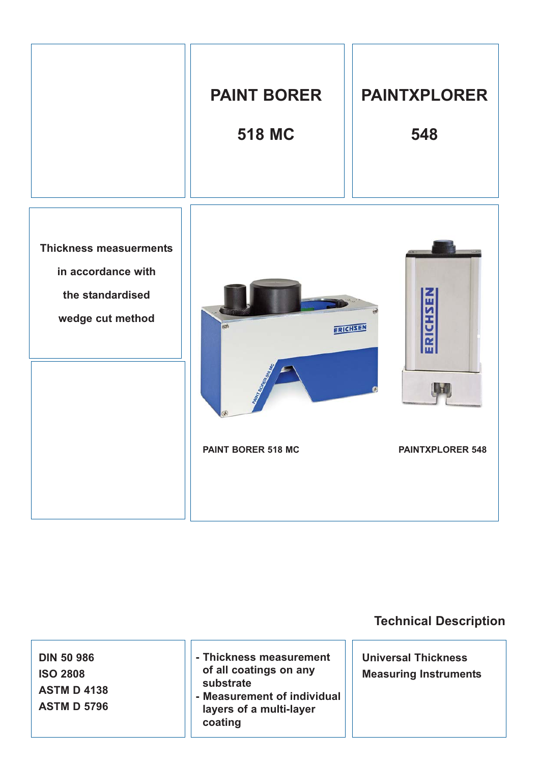

# **Technical Description**

**DIN 50 986 ISO 2808 ASTM D 4138 ASTM D 5796**

- **Thickness measurement of all coatings on any substrate**
- **Measurement of individual layers of a multi-layer coating**

**Universal Thickness Measuring Instruments**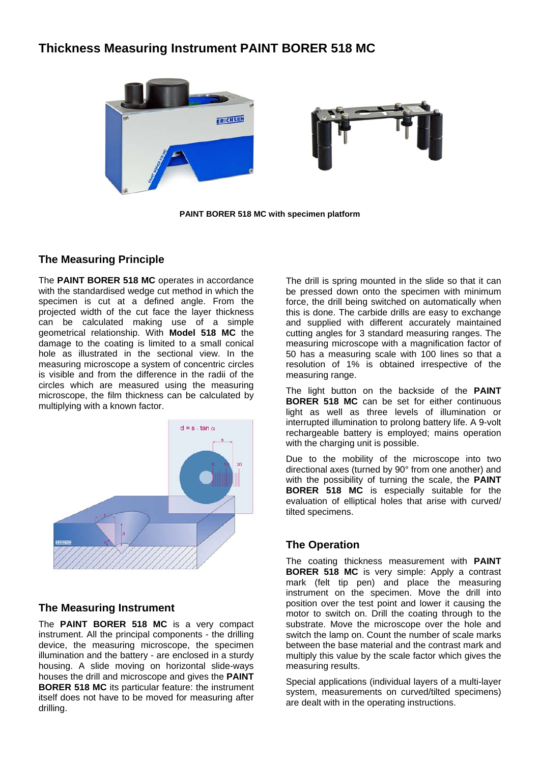### **Thickness Measuring Instrument PAINT BORER 518 MC**



**PAINT BORER 518 MC with specimen platform** 

### **The Measuring Principle**

The **PAINT BORER 518 MC** operates in accordance with the standardised wedge cut method in which the specimen is cut at a defined angle. From the projected width of the cut face the layer thickness can be calculated making use of a simple geometrical relationship. With **Model 518 MC** the damage to the coating is limited to a small conical hole as illustrated in the sectional view. In the measuring microscope a system of concentric circles is visible and from the difference in the radii of the circles which are measured using the measuring microscope, the film thickness can be calculated by multiplying with a known factor.



### **The Measuring Instrument**

The **PAINT BORER 518 MC** is a very compact instrument. All the principal components - the drilling device, the measuring microscope, the specimen illumination and the battery - are enclosed in a sturdy housing. A slide moving on horizontal slide-ways houses the drill and microscope and gives the **PAINT BORER 518 MC** its particular feature: the instrument itself does not have to be moved for measuring after drilling.

The drill is spring mounted in the slide so that it can be pressed down onto the specimen with minimum force, the drill being switched on automatically when this is done. The carbide drills are easy to exchange and supplied with different accurately maintained cutting angles for 3 standard measuring ranges. The measuring microscope with a magnification factor of 50 has a measuring scale with 100 lines so that a resolution of 1% is obtained irrespective of the measuring range.

The light button on the backside of the **PAINT BORER 518 MC** can be set for either continuous light as well as three levels of illumination or interrupted illumination to prolong battery life. A 9-volt rechargeable battery is employed; mains operation with the charging unit is possible.

Due to the mobility of the microscope into two directional axes (turned by 90° from one another) and with the possibility of turning the scale, the **PAINT BORER 518 MC** is especially suitable for the evaluation of elliptical holes that arise with curved/ tilted specimens.

### **The Operation**

The coating thickness measurement with **PAINT BORER 518 MC** is very simple: Apply a contrast mark (felt tip pen) and place the measuring instrument on the specimen. Move the drill into position over the test point and lower it causing the motor to switch on. Drill the coating through to the substrate. Move the microscope over the hole and switch the lamp on. Count the number of scale marks between the base material and the contrast mark and multiply this value by the scale factor which gives the measuring results.

Special applications (individual layers of a multi-layer system, measurements on curved/tilted specimens) are dealt with in the operating instructions.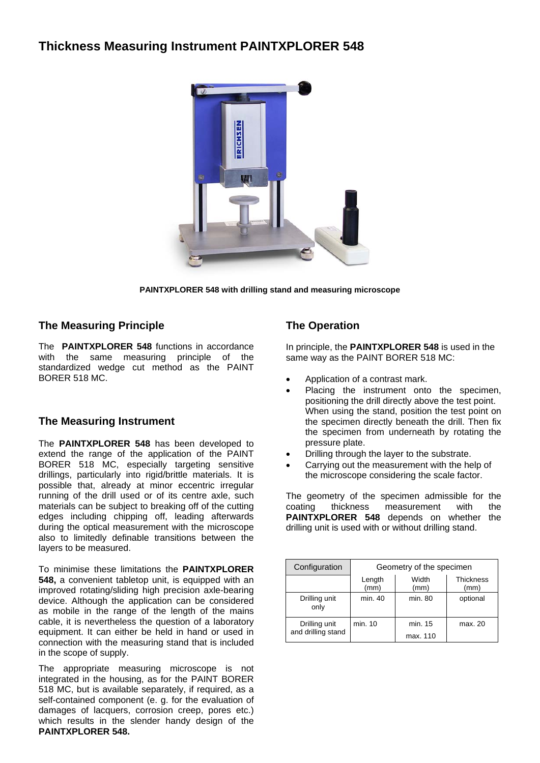# **Thickness Measuring Instrument PAINTXPLORER 548**



**PAINTXPLORER 548 with drilling stand and measuring microscope** 

#### **The Measuring Principle**

The **PAINTXPLORER 548** functions in accordance with the same measuring principle of the standardized wedge cut method as the PAINT BORER 518 MC.

### **The Measuring Instrument**

The **PAINTXPLORER 548** has been developed to extend the range of the application of the PAINT BORER 518 MC, especially targeting sensitive drillings, particularly into rigid/brittle materials. It is possible that, already at minor eccentric irregular running of the drill used or of its centre axle, such materials can be subject to breaking off of the cutting edges including chipping off, leading afterwards during the optical measurement with the microscope also to limitedly definable transitions between the layers to be measured.

To minimise these limitations the **PAINTXPLORER 548,** a convenient tabletop unit, is equipped with an improved rotating/sliding high precision axle-bearing device. Although the application can be considered as mobile in the range of the length of the mains cable, it is nevertheless the question of a laboratory equipment. It can either be held in hand or used in connection with the measuring stand that is included in the scope of supply.

The appropriate measuring microscope is not integrated in the housing, as for the PAINT BORER 518 MC, but is available separately, if required, as a self-contained component (e. g. for the evaluation of damages of lacquers, corrosion creep, pores etc.) which results in the slender handy design of the **PAINTXPLORER 548.**

### **The Operation**

In principle, the **PAINTXPLORER 548** is used in the same way as the PAINT BORER 518 MC:

- Application of a contrast mark.
- Placing the instrument onto the specimen, positioning the drill directly above the test point. When using the stand, position the test point on the specimen directly beneath the drill. Then fix the specimen from underneath by rotating the pressure plate.
- Drilling through the layer to the substrate.
- Carrying out the measurement with the help of the microscope considering the scale factor.

The geometry of the specimen admissible for the coating thickness measurement with the **PAINTXPLORER 548** depends on whether the drilling unit is used with or without drilling stand.

| Configuration         | Geometry of the specimen |               |                          |  |
|-----------------------|--------------------------|---------------|--------------------------|--|
|                       | Length<br>(mm)           | Width<br>(mm) | <b>Thickness</b><br>(mm) |  |
| Drilling unit<br>only | min. 40                  | min. 80       | optional                 |  |
| Drilling unit         | min. 10                  | min. 15       | max. 20                  |  |
| and drilling stand    |                          | max. 110      |                          |  |